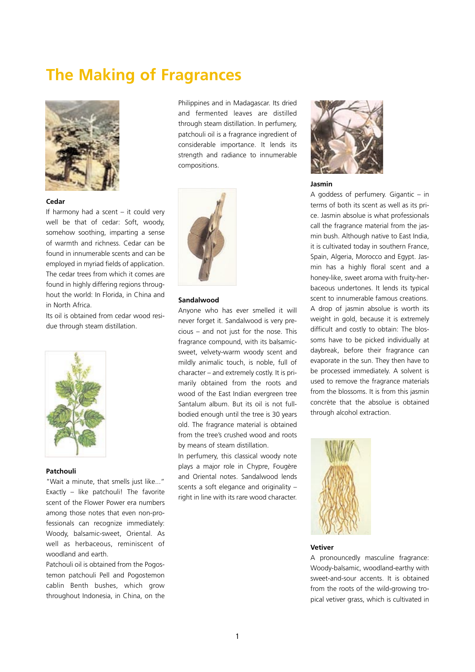# **The Making of Fragrances**



#### **Cedar**

If harmony had a scent – it could very well be that of cedar: Soft, woody, somehow soothing, imparting a sense of warmth and richness. Cedar can be found in innumerable scents and can be employed in myriad fields of application. The cedar trees from which it comes are found in highly differing regions throughout the world: In Florida, in China and in North Africa.

Its oil is obtained from cedar wood residue through steam distillation.



## **Patchouli**

"Wait a minute, that smells just like..." Exactly – like patchouli! The favorite scent of the Flower Power era numbers among those notes that even non-professionals can recognize immediately: Woody, balsamic-sweet, Oriental. As well as herbaceous, reminiscent of woodland and earth.

Patchouli oil is obtained from the Pogostemon patchouli Pell and Pogostemon cablin Benth bushes, which grow throughout Indonesia, in China, on the

Philippines and in Madagascar. Its dried and fermented leaves are distilled through steam distillation. In perfumery, patchouli oil is a fragrance ingredient of considerable importance. It lends its strength and radiance to innumerable compositions.



#### **Sandalwood**

Anyone who has ever smelled it will never forget it. Sandalwood is very precious – and not just for the nose. This fragrance compound, with its balsamicsweet, velvety-warm woody scent and mildly animalic touch, is noble, full of character – and extremely costly. It is primarily obtained from the roots and wood of the East Indian evergreen tree Santalum album. But its oil is not fullbodied enough until the tree is 30 years old. The fragrance material is obtained from the tree's crushed wood and roots by means of steam distillation.

In perfumery, this classical woody note plays a major role in Chypre, Fougère and Oriental notes. Sandalwood lends scents a soft elegance and originality – right in line with its rare wood character.



### **Jasmin**

A goddess of perfumery. Gigantic – in terms of both its scent as well as its price. Jasmin absolue is what professionals call the fragrance material from the jasmin bush. Although native to East India, it is cultivated today in southern France, Spain, Algeria, Morocco and Egypt. Jasmin has a highly floral scent and a honey-like, sweet aroma with fruity-herbaceous undertones. It lends its typical scent to innumerable famous creations. A drop of jasmin absolue is worth its weight in gold, because it is extremely difficult and costly to obtain: The blossoms have to be picked individually at daybreak, before their fragrance can evaporate in the sun. They then have to be processed immediately. A solvent is used to remove the fragrance materials from the blossoms. It is from this jasmin concrète that the absolue is obtained through alcohol extraction.



#### **Vetiver**

A pronouncedly masculine fragrance: Woody-balsamic, woodland-earthy with sweet-and-sour accents. It is obtained from the roots of the wild-growing tropical vetiver grass, which is cultivated in